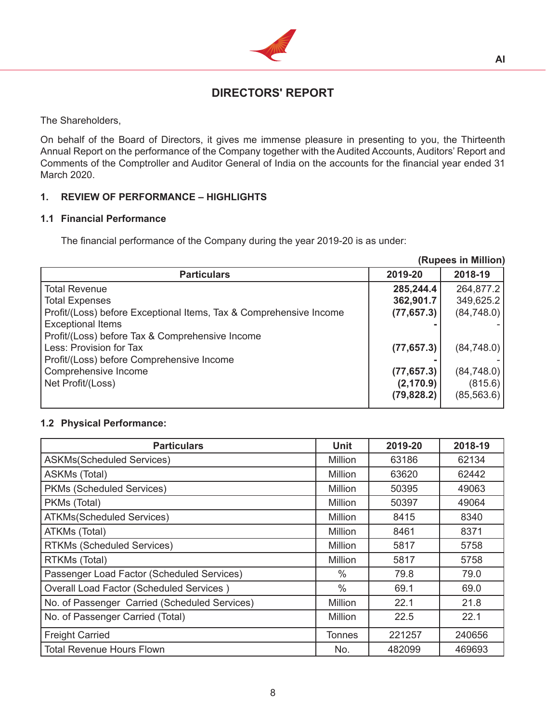

# **DIRECTORS' REPORT**

The Shareholders,

On behalf of the Board of Directors, it gives me immense pleasure in presenting to you, the Thirteenth Annual Report on the performance of the Company together with the Audited Accounts, Auditors' Report and Comments of the Comptroller and Auditor General of India on the accounts for the financial year ended 31 March 2020.

### **1. REVIEW OF PERFORMANCE – HIGHLIGHTS**

### **1.1 Financial Performance**

 The financial performance of the Company during the year 2019-20 is as under:

|                                                                    |             | (Rupees in Million) |
|--------------------------------------------------------------------|-------------|---------------------|
| <b>Particulars</b>                                                 | 2019-20     | 2018-19             |
| <b>Total Revenue</b>                                               | 285,244.4   | 264,877.2           |
| <b>Total Expenses</b>                                              | 362,901.7   | 349,625.2           |
| Profit/(Loss) before Exceptional Items, Tax & Comprehensive Income | (77, 657.3) | (84,748.0)          |
| <b>Exceptional Items</b>                                           |             |                     |
| Profit/(Loss) before Tax & Comprehensive Income                    |             |                     |
| Less: Provision for Tax                                            | (77, 657.3) | (84,748.0)          |
| Profit/(Loss) before Comprehensive Income                          |             |                     |
| Comprehensive Income                                               | (77, 657.3) | (84, 748.0)         |
| Net Profit/(Loss)                                                  | (2, 170.9)  | (815.6)             |
|                                                                    | (79, 828.2) | (85, 563.6)         |

### **1.2 Physical Performance:**

| <b>Particulars</b>                            | Unit           | 2019-20 | 2018-19 |
|-----------------------------------------------|----------------|---------|---------|
| <b>ASKMs(Scheduled Services)</b>              | <b>Million</b> | 63186   | 62134   |
| ASKMs (Total)                                 | <b>Million</b> | 63620   | 62442   |
| PKMs (Scheduled Services)                     | <b>Million</b> | 50395   | 49063   |
| PKMs (Total)                                  | <b>Million</b> | 50397   | 49064   |
| <b>ATKMs(Scheduled Services)</b>              | <b>Million</b> | 8415    | 8340    |
| ATKMs (Total)                                 | <b>Million</b> | 8461    | 8371    |
| <b>RTKMs (Scheduled Services)</b>             | <b>Million</b> | 5817    | 5758    |
| RTKMs (Total)                                 | <b>Million</b> | 5817    | 5758    |
| Passenger Load Factor (Scheduled Services)    | $\frac{0}{0}$  | 79.8    | 79.0    |
| Overall Load Factor (Scheduled Services)      | $\frac{0}{0}$  | 69.1    | 69.0    |
| No. of Passenger Carried (Scheduled Services) | <b>Million</b> | 22.1    | 21.8    |
| No. of Passenger Carried (Total)              | <b>Million</b> | 22.5    | 22.1    |
| <b>Freight Carried</b>                        | Tonnes         | 221257  | 240656  |
| <b>Total Revenue Hours Flown</b>              | No.            | 482099  | 469693  |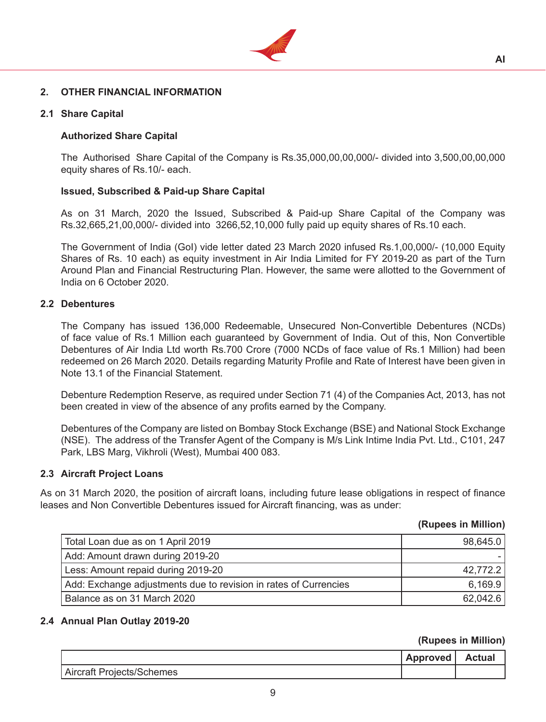

### **2. OTHER FINANCIAL INFORMATION**

### **2.1 Share Capital**

### **Authorized Share Capital**

 The Authorised Share Capital of the Company is Rs.35,000,00,00,000/- divided into 3,500,00,00,000 equity shares of Rs.10/- each.

### **Issued, Subscribed & Paid-up Share Capital**

 As on 31 March, 2020 the Issued, Subscribed & Paid-up Share Capital of the Company was Rs.32,665,21,00,000/- divided into 3266,52,10,000 fully paid up equity shares of Rs.10 each.

 The Government of India (GoI) vide letter dated 23 March 2020 infused Rs.1,00,000/- (10,000 Equity Shares of Rs. 10 each) as equity investment in Air India Limited for FY 2019-20 as part of the Turn Around Plan and Financial Restructuring Plan. However, the same were allotted to the Government of India on 6 October 2020.

#### **2.2 Debentures**

 The Company has issued 136,000 Redeemable, Unsecured Non-Convertible Debentures (NCDs) of face value of Rs.1 Million each guaranteed by Government of India. Out of this, Non Convertible Debentures of Air India Ltd worth Rs.700 Crore (7000 NCDs of face value of Rs.1 Million) had been redeemed on 26 March 2020. Details regarding Maturity Profile and Rate of Interest have been given in Note 13.1 of the Financial Statement.

 Debenture Redemption Reserve, as required under Section 71 (4) of the Companies Act, 2013, has not been created in view of the absence of any profits earned by the Company.

 Debentures of the Company are listed on Bombay Stock Exchange (BSE) and National Stock Exchange (NSE). The address of the Transfer Agent of the Company is M/s Link Intime India Pvt. Ltd., C101, 247 Park, LBS Marg, Vikhroli (West), Mumbai 400 083.

#### **2.3 Aircraft Project Loans**

As on 31 March 2020, the position of aircraft loans, including future lease obligations in respect of finance leases and Non Convertible Debentures issued for Aircraft financing, was as under:

#### **(Rupees in Million)**

| Total Loan due as on 1 April 2019                                | 98,645.0 |
|------------------------------------------------------------------|----------|
| Add: Amount drawn during 2019-20                                 |          |
| Less: Amount repaid during 2019-20                               | 42.772.2 |
| Add: Exchange adjustments due to revision in rates of Currencies | 6,169.9  |
| Balance as on 31 March 2020                                      | 62,042.6 |

### **2.4 Annual Plan Outlay 2019-20**

**(Rupees in Million)**

|                           | Approved | Actual |
|---------------------------|----------|--------|
| Aircraft Projects/Schemes |          |        |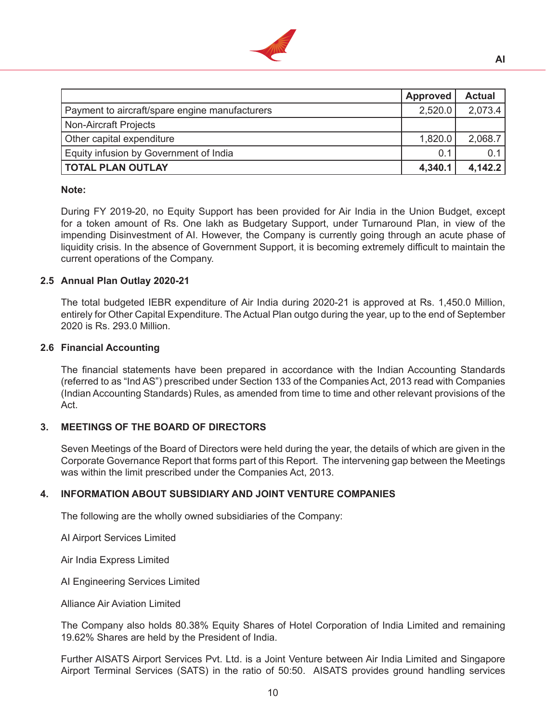

|                                                | Approved | <b>Actual</b> |
|------------------------------------------------|----------|---------------|
| Payment to aircraft/spare engine manufacturers | 2,520.0  | 2,073.4       |
| Non-Aircraft Projects                          |          |               |
| Other capital expenditure                      | 1,820.0  | 2,068.7       |
| Equity infusion by Government of India         | 0.1      | 0.1           |
| <b>TOTAL PLAN OUTLAY</b>                       | 4,340.1  | 4.142.2       |

#### **Note:**

 During FY 2019-20, no Equity Support has been provided for Air India in the Union Budget, except for a token amount of Rs. One lakh as Budgetary Support, under Turnaround Plan, in view of the impending Disinvestment of AI. However, the Company is currently going through an acute phase of liquidity crisis. In the absence of Government Support, it is becoming extremely difficult to maintain the current operations of the Company.

#### **2.5 Annual Plan Outlay 2020-21**

 The total budgeted IEBR expenditure of Air India during 2020-21 is approved at Rs. 1,450.0 Million, entirely for Other Capital Expenditure. The Actual Plan outgo during the year, up to the end of September 2020 is Rs. 293.0 Million.

#### **2.6 Financial Accounting**

 The financial statements have been prepared in accordance with the Indian Accounting Standards (referred to as "Ind AS") prescribed under Section 133 of the Companies Act, 2013 read with Companies (Indian Accounting Standards) Rules, as amended from time to time and other relevant provisions of the Act.

### **3. MEETINGS OF THE BOARD OF DIRECTORS**

 Seven Meetings of the Board of Directors were held during the year, the details of which are given in the Corporate Governance Report that forms part of this Report. The intervening gap between the Meetings was within the limit prescribed under the Companies Act, 2013.

#### **4. INFORMATION ABOUT SUBSIDIARY AND JOINT VENTURE COMPANIES**

 The following are the wholly owned subsidiaries of the Company:

 AI Airport Services Limited

 Air India Express Limited

 AI Engineering Services Limited

 Alliance Air Aviation Limited

 The Company also holds 80.38% Equity Shares of Hotel Corporation of India Limited and remaining 19.62% Shares are held by the President of India.

 Further AISATS Airport Services Pvt. Ltd. is a Joint Venture between Air India Limited and Singapore Airport Terminal Services (SATS) in the ratio of 50:50. AISATS provides ground handling services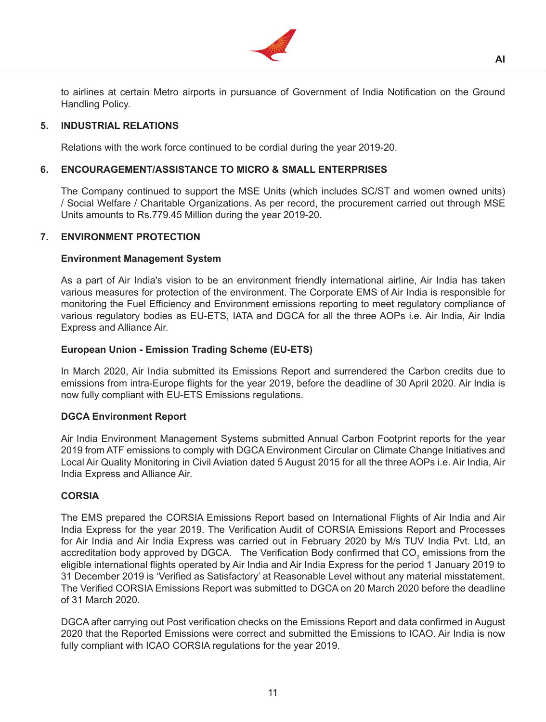

to airlines at certain Metro airports in pursuance of Government of India Notification on the Ground Handling Policy.

### **5. INDUSTRIAL RELATIONS**

 Relations with the work force continued to be cordial during the year 2019-20.

### **6. ENCOURAGEMENT/ASSISTANCE TO MICRO & SMALL ENTERPRISES**

The Company continued to support the MSE Units (which includes SC/ST and women owned units) / Social Welfare / Charitable Organizations. As per record, the procurement carried out through MSE Units amounts to Rs.779.45 Million during the year 2019-20.

### **7. ENVIRONMENT PROTECTION**

### **Environment Management System**

 As a part of Air India's vision to be an environment friendly international airline, Air India has taken various measures for protection of the environment. The Corporate EMS of Air India is responsible for monitoring the Fuel Efficiency and Environment emissions reporting to meet regulatory compliance of various regulatory bodies as EU-ETS, IATA and DGCA for all the three AOPs i.e. Air India, Air India Express and Alliance Air.

### **European Union - Emission Trading Scheme (EU-ETS)**

 In March 2020, Air India submitted its Emissions Report and surrendered the Carbon credits due to emissions from intra-Europe flights for the year 2019, before the deadline of 30 April 2020. Air India is now fully compliant with EU-ETS Emissions regulations.

#### **DGCA Environment Report**

 Air India Environment Management Systems submitted Annual Carbon Footprint reports for the year 2019 from ATF emissions to comply with DGCA Environment Circular on Climate Change Initiatives and Local Air Quality Monitoring in Civil Aviation dated 5 August 2015 for all the three AOPs i.e. Air India, Air India Express and Alliance Air.

#### **CORSIA**

 The EMS prepared the CORSIA Emissions Report based on International Flights of Air India and Air India Express for the year 2019. The Verification Audit of CORSIA Emissions Report and Processes for Air India and Air India Express was carried out in February 2020 by M/s TUV India Pvt. Ltd, an accreditation body approved by DGCA. The Verification Body confirmed that CO<sub>2</sub> emissions from the eligible international flights operated by Air India and Air India Express for the period 1 January 2019 to 31 December 2019 is 'Verified as Satisfactory' at Reasonable Level without any material misstatement. The Verified CORSIA Emissions Report was submitted to DGCA on 20 March 2020 before the deadline of 31 March 2020.

 DGCA after carrying out Post verification checks on the Emissions Report and data confirmed in August 2020 that the Reported Emissions were correct and submitted the Emissions to ICAO. Air India is now fully compliant with ICAO CORSIA regulations for the year 2019.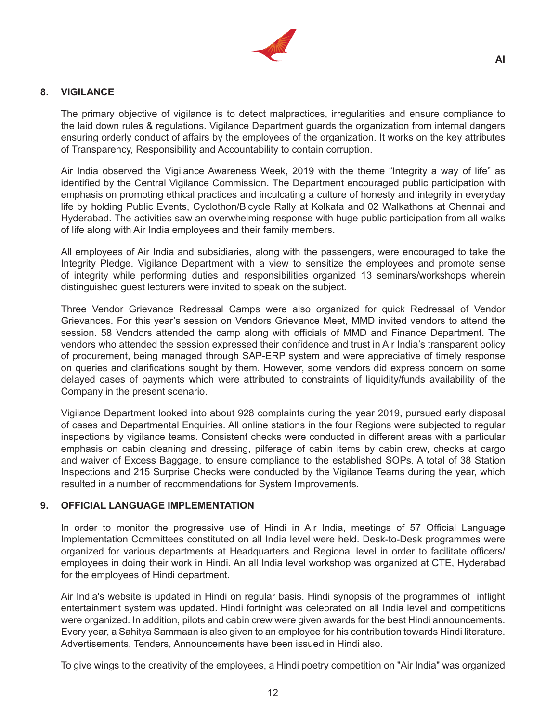

### **8. VIGILANCE**

 The primary objective of vigilance is to detect malpractices, irregularities and ensure compliance to the laid down rules & regulations. Vigilance Department guards the organization from internal dangers ensuring orderly conduct of affairs by the employees of the organization. It works on the key attributes of Transparency, Responsibility and Accountability to contain corruption.

 Air India observed the Vigilance Awareness Week, 2019 with the theme "Integrity a way of life" as identified by the Central Vigilance Commission. The Department encouraged public participation with emphasis on promoting ethical practices and inculcating a culture of honesty and integrity in everyday life by holding Public Events, Cyclothon/Bicycle Rally at Kolkata and 02 Walkathons at Chennai and Hyderabad. The activities saw an overwhelming response with huge public participation from all walks of life along with Air India employees and their family members.

 All employees of Air India and subsidiaries, along with the passengers, were encouraged to take the Integrity Pledge. Vigilance Department with a view to sensitize the employees and promote sense of integrity while performing duties and responsibilities organized 13 seminars/workshops wherein distinguished guest lecturers were invited to speak on the subject.

Three Vendor Grievance Redressal Camps were also organized for quick Redressal of Vendor Grievances. For this year's session on Vendors Grievance Meet, MMD invited vendors to attend the session. 58 Vendors attended the camp along with officials of MMD and Finance Department. The vendors who attended the session expressed their confidence and trust in Air India's transparent policy of procurement, being managed through SAP-ERP system and were appreciative of timely response on queries and clarifications sought by them. However, some vendors did express concern on some delayed cases of payments which were attributed to constraints of liquidity/funds availability of the Company in the present scenario.

 Vigilance Department looked into about 928 complaints during the year 2019, pursued early disposal of cases and Departmental Enquiries. All online stations in the four Regions were subjected to regular inspections by vigilance teams. Consistent checks were conducted in different areas with a particular emphasis on cabin cleaning and dressing, pilferage of cabin items by cabin crew, checks at cargo and waiver of Excess Baggage, to ensure compliance to the established SOPs. A total of 38 Station Inspections and 215 Surprise Checks were conducted by the Vigilance Teams during the year, which resulted in a number of recommendations for System Improvements.

#### **9. OFFICIAL LANGUAGE IMPLEMENTATION**

 In order to monitor the progressive use of Hindi in Air India, meetings of 57 Official Language Implementation Committees constituted on all India level were held. Desk-to-Desk programmes were organized for various departments at Headquarters and Regional level in order to facilitate officers/ employees in doing their work in Hindi. An all India level workshop was organized at CTE, Hyderabad for the employees of Hindi department.

 Air India's website is updated in Hindi on regular basis. Hindi synopsis of the programmes of inflight entertainment system was updated. Hindi fortnight was celebrated on all India level and competitions were organized. In addition, pilots and cabin crew were given awards for the best Hindi announcements. Every year, a Sahitya Sammaan is also given to an employee for his contribution towards Hindi literature. Advertisements, Tenders, Announcements have been issued in Hindi also.

 To give wings to the creativity of the employees, a Hindi poetry competition on "Air India" was organized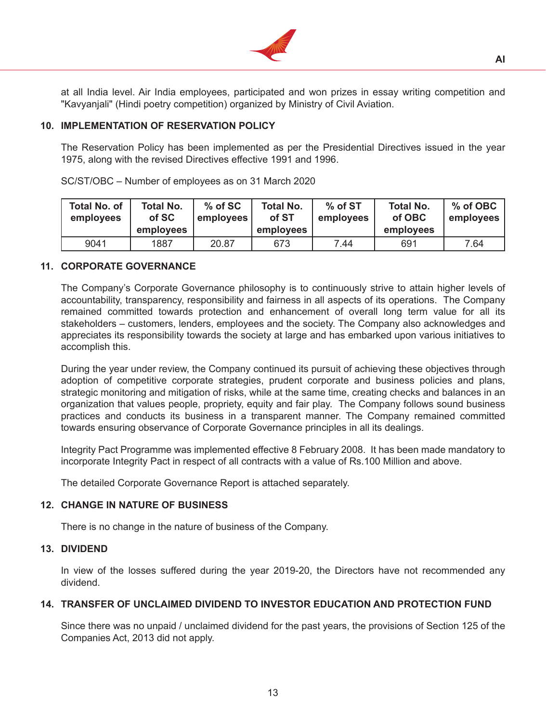

at all India level. Air India employees, participated and won prizes in essay writing competition and "Kavyanjali" (Hindi poetry competition) organized by Ministry of Civil Aviation.

### **10. IMPLEMENTATION OF RESERVATION POLICY**

 The Reservation Policy has been implemented as per the Presidential Directives issued in the year 1975, along with the revised Directives effective 1991 and 1996.

**Total No. of employees Total No. of SC employees % of SC employees Total No. of ST employees % of ST employees Total No. of OBC employees % of OBC employees** 9041 | 1887 | 20.87 | 673 | 7.44 | 691 | 7.64

 SC/ST/OBC – Number of employees as on 31 March 2020

#### **11. CORPORATE GOVERNANCE**

The Company's Corporate Governance philosophy is to continuously strive to attain higher levels of accountability, transparency, responsibility and fairness in all aspects of its operations. The Company remained committed towards protection and enhancement of overall long term value for all its stakeholders – customers, lenders, employees and the society. The Company also acknowledges and appreciates its responsibility towards the society at large and has embarked upon various initiatives to accomplish this.

 During the year under review, the Company continued its pursuit of achieving these objectives through adoption of competitive corporate strategies, prudent corporate and business policies and plans, strategic monitoring and mitigation of risks, while at the same time, creating checks and balances in an organization that values people, propriety, equity and fair play. The Company follows sound business practices and conducts its business in a transparent manner. The Company remained committed towards ensuring observance of Corporate Governance principles in all its dealings.

 Integrity Pact Programme was implemented effective 8 February 2008. It has been made mandatory to incorporate Integrity Pact in respect of all contracts with a value of Rs.100 Million and above.

The detailed Corporate Governance Report is attached separately.

### **12. CHANGE IN NATURE OF BUSINESS**

 There is no change in the nature of business of the Company.

### **13. DIVIDEND**

 In view of the losses suffered during the year 2019-20, the Directors have not recommended any dividend.

#### **14. TRANSFER OF UNCLAIMED DIVIDEND TO INVESTOR EDUCATION AND PROTECTION FUND**

 Since there was no unpaid / unclaimed dividend for the past years, the provisions of Section 125 of the Companies Act, 2013 did not apply.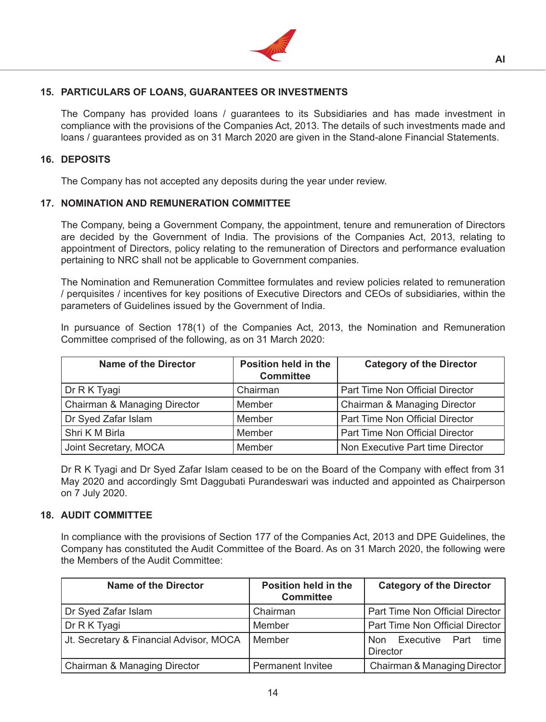

### **15. PARTICULARS OF LOANS, GUARANTEES OR INVESTMENTS**

 The Company has provided loans / guarantees to its Subsidiaries and has made investment in compliance with the provisions of the Companies Act, 2013. The details of such investments made and loans / guarantees provided as on 31 March 2020 are given in the Stand-alone Financial Statements.

### **16. DEPOSITS**

The Company has not accepted any deposits during the year under review.

### **17. NOMINATION AND REMUNERATION COMMITTEE**

 The Company, being a Government Company, the appointment, tenure and remuneration of Directors are decided by the Government of India. The provisions of the Companies Act, 2013, relating to appointment of Directors, policy relating to the remuneration of Directors and performance evaluation pertaining to NRC shall not be applicable to Government companies.

The Nomination and Remuneration Committee formulates and review policies related to remuneration / perquisites / incentives for key positions of Executive Directors and CEOs of subsidiaries, within the parameters of Guidelines issued by the Government of India.

 In pursuance of Section 178(1) of the Companies Act, 2013, the Nomination and Remuneration Committee comprised of the following, as on 31 March 2020:

| <b>Name of the Director</b>  | Position held in the<br><b>Committee</b> | <b>Category of the Director</b>  |
|------------------------------|------------------------------------------|----------------------------------|
| Dr R K Tyagi                 | Chairman                                 | Part Time Non Official Director  |
| Chairman & Managing Director | Member                                   | Chairman & Managing Director     |
| Dr Syed Zafar Islam          | Member                                   | Part Time Non Official Director  |
| Shri K M Birla               | Member                                   | Part Time Non Official Director  |
| Joint Secretary, MOCA        | Member                                   | Non Executive Part time Director |

 Dr R K Tyagi and Dr Syed Zafar Islam ceased to be on the Board of the Company with effect from 31 May 2020 and accordingly Smt Daggubati Purandeswari was inducted and appointed as Chairperson on 7 July 2020.

#### **18. AUDIT COMMITTEE**

 In compliance with the provisions of Section 177 of the Companies Act, 2013 and DPE Guidelines, the Company has constituted the Audit Committee of the Board. As on 31 March 2020, the following were the Members of the Audit Committee:

| <b>Name of the Director</b>             | Position held in the<br><b>Committee</b> | <b>Category of the Director</b>                  |
|-----------------------------------------|------------------------------------------|--------------------------------------------------|
| Dr Syed Zafar Islam                     | Chairman                                 | Part Time Non Official Director                  |
| Dr R K Tyagi                            | Member                                   | Part Time Non Official Director                  |
| Jt. Secretary & Financial Advisor, MOCA | Member                                   | Executive Part<br>time<br>Non<br><b>Director</b> |
| Chairman & Managing Director            | <b>Permanent Invitee</b>                 | Chairman & Managing Director                     |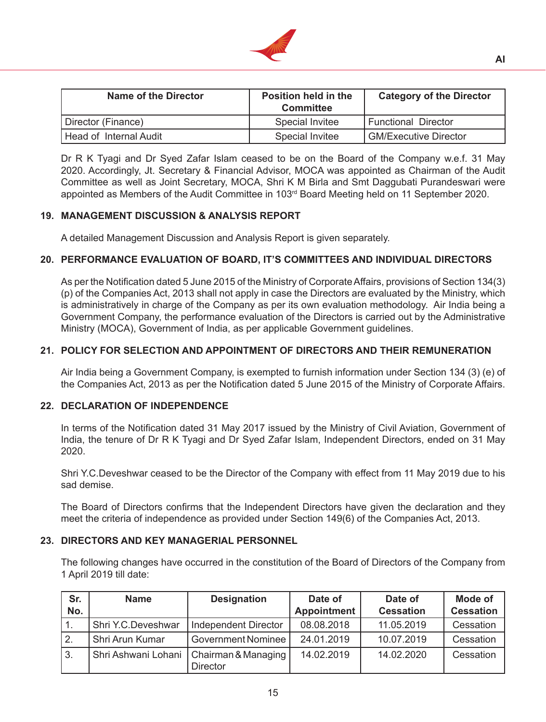

| Name of the Director   | <b>Position held in the</b><br><b>Committee</b> | <b>Category of the Director</b> |
|------------------------|-------------------------------------------------|---------------------------------|
| Director (Finance)     | Special Invitee                                 | <b>Functional Director</b>      |
| Head of Internal Audit | Special Invitee                                 | <b>GM/Executive Director</b>    |

 Dr R K Tyagi and Dr Syed Zafar Islam ceased to be on the Board of the Company w.e.f. 31 May 2020. Accordingly, Jt. Secretary & Financial Advisor, MOCA was appointed as Chairman of the Audit Committee as well as Joint Secretary, MOCA, Shri K M Birla and Smt Daggubati Purandeswari were appointed as Members of the Audit Committee in 103<sup>rd</sup> Board Meeting held on 11 September 2020.

### **19. MANAGEMENT DISCUSSION & ANALYSIS REPORT**

A detailed Management Discussion and Analysis Report is given separately.

#### **20. PERFORMANCE EVALUATION OF BOARD, IT'S COMMITTEES AND INDIVIDUAL DIRECTORS**

As per the Notification dated 5 June 2015 of the Ministry of Corporate Affairs, provisions of Section 134(3) (p) of the Companies Act, 2013 shall not apply in case the Directors are evaluated by the Ministry, which is administratively in charge of the Company as per its own evaluation methodology. Air India being a Government Company, the performance evaluation of the Directors is carried out by the Administrative Ministry (MOCA), Government of India, as per applicable Government guidelines.

### **21. POLICY FOR SELECTION AND APPOINTMENT OF DIRECTORS AND THEIR REMUNERATION**

 Air India being a Government Company, is exempted to furnish information under Section 134 (3) (e) of the Companies Act, 2013 as per the Notification dated 5 June 2015 of the Ministry of Corporate Affairs.

#### **22. DECLARATION OF INDEPENDENCE**

 In terms of the Notification dated 31 May 2017 issued by the Ministry of Civil Aviation, Government of India, the tenure of Dr R K Tyagi and Dr Syed Zafar Islam, Independent Directors, ended on 31 May 2020.

 Shri Y.C.Deveshwar ceased to be the Director of the Company with effect from 11 May 2019 due to his sad demise.

 The Board of Directors confirms that the Independent Directors have given the declaration and they meet the criteria of independence as provided under Section 149(6) of the Companies Act, 2013.

#### **23. DIRECTORS AND KEY MANAGERIAL PERSONNEL**

The following changes have occurred in the constitution of the Board of Directors of the Company from 1 April 2019 till date:

| Sr.  | <b>Name</b>         | <b>Designation</b>                     | Date of            | Date of          | <b>Mode of</b>   |
|------|---------------------|----------------------------------------|--------------------|------------------|------------------|
| No.  |                     |                                        | <b>Appointment</b> | <b>Cessation</b> | <b>Cessation</b> |
|      | Shri Y.C.Deveshwar  | <b>Independent Director</b>            | 08.08.2018         | 11.05.2019       | Cessation        |
| 2.   | Shri Arun Kumar     | <b>Government Nominee</b>              | 24.01.2019         | 10.07.2019       | Cessation        |
| ' ვ. | Shri Ashwani Lohani | Chairman & Managing<br><b>Director</b> | 14.02.2019         | 14.02.2020       | Cessation        |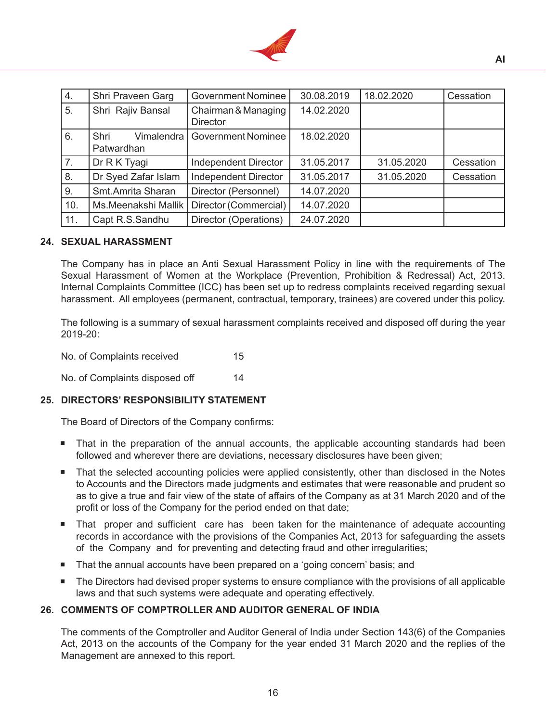

| 4.  | Shri Praveen Garg                | <b>Government Nominee</b>              | 30.08.2019 | 18.02.2020 | Cessation |
|-----|----------------------------------|----------------------------------------|------------|------------|-----------|
| 5.  | Shri Rajiv Bansal                | Chairman & Managing<br><b>Director</b> | 14.02.2020 |            |           |
| 6.  | Vimalendra<br>Shri<br>Patwardhan | <b>Government Nominee</b>              | 18.02.2020 |            |           |
| 7.  | Dr R K Tyagi                     | <b>Independent Director</b>            | 31.05.2017 | 31.05.2020 | Cessation |
| 8.  | Dr Syed Zafar Islam              | <b>Independent Director</b>            | 31.05.2017 | 31.05.2020 | Cessation |
| 9.  | Smt.Amrita Sharan                | Director (Personnel)                   | 14.07.2020 |            |           |
| 10. | Ms.Meenakshi Mallik              | Director (Commercial)                  | 14.07.2020 |            |           |
| 11. | Capt R.S.Sandhu                  | Director (Operations)                  | 24.07.2020 |            |           |

### **24. SEXUAL HARASSMENT**

The Company has in place an Anti Sexual Harassment Policy in line with the requirements of The Sexual Harassment of Women at the Workplace (Prevention, Prohibition & Redressal) Act, 2013. Internal Complaints Committee (ICC) has been set up to redress complaints received regarding sexual harassment. All employees (permanent, contractual, temporary, trainees) are covered under this policy.

The following is a summary of sexual harassment complaints received and disposed off during the year 2019-20:

No. of Complaints received 15

No. of Complaints disposed off 14

#### **25. DIRECTORS' RESPONSIBILITY STATEMENT**

 The Board of Directors of the Company confirms:

- **That in the preparation of the annual accounts, the applicable accounting standards had been** followed and wherever there are deviations, necessary disclosures have been given;
- That the selected accounting policies were applied consistently, other than disclosed in the Notes to Accounts and the Directors made judgments and estimates that were reasonable and prudent so as to give a true and fair view of the state of affairs of the Company as at 31 March 2020 and of the profit or loss of the Company for the period ended on that date;
- **That proper and sufficient care has been taken for the maintenance of adequate accounting** records in accordance with the provisions of the Companies Act, 2013 for safeguarding the assets of the Company and for preventing and detecting fraud and other irregularities;
- That the annual accounts have been prepared on a 'going concern' basis; and
- The Directors had devised proper systems to ensure compliance with the provisions of all applicable laws and that such systems were adequate and operating effectively.

### **26. COMMENTS OF COMPTROLLER AND AUDITOR GENERAL OF INDIA**

The comments of the Comptroller and Auditor General of India under Section 143(6) of the Companies Act, 2013 on the accounts of the Company for the year ended 31 March 2020 and the replies of the Management are annexed to this report.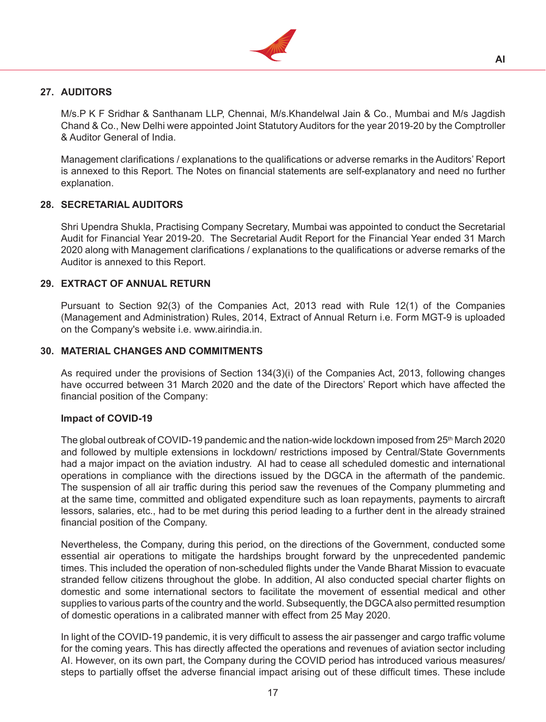

# **27. AUDITORS**

 M/s.P K F Sridhar & Santhanam LLP, Chennai, M/s.Khandelwal Jain & Co., Mumbai and M/s Jagdish Chand & Co., New Delhi were appointed Joint Statutory Auditors for the year 2019-20 by the Comptroller & Auditor General of India.

 Management clarifications / explanations to the qualifications or adverse remarks in the Auditors' Report is annexed to this Report. The Notes on financial statements are self-explanatory and need no further explanation.

### **28. SECRETARIAL AUDITORS**

 Shri Upendra Shukla, Practising Company Secretary, Mumbai was appointed to conduct the Secretarial Audit for Financial Year 2019-20. The Secretarial Audit Report for the Financial Year ended 31 March 2020 along with Management clarifications / explanations to the qualifications or adverse remarks of the Auditor is annexed to this Report.

### **29. EXTRACT OF ANNUAL RETURN**

 Pursuant to Section 92(3) of the Companies Act, 2013 read with Rule 12(1) of the Companies (Management and Administration) Rules, 2014, Extract of Annual Return i.e. Form MGT-9 is uploaded on the Company's website i.e. www.airindia.in.

### **30. MATERIAL CHANGES AND COMMITMENTS**

 As required under the provisions of Section 134(3)(i) of the Companies Act, 2013, following changes have occurred between 31 March 2020 and the date of the Directors' Report which have affected the financial position of the Company:

#### **Impact of COVID-19**

The global outbreak of COVID-19 pandemic and the nation-wide lockdown imposed from 25<sup>th</sup> March 2020 and followed by multiple extensions in lockdown/ restrictions imposed by Central/State Governments had a major impact on the aviation industry. AI had to cease all scheduled domestic and international operations in compliance with the directions issued by the DGCA in the aftermath of the pandemic. The suspension of all air traffic during this period saw the revenues of the Company plummeting and at the same time, committed and obligated expenditure such as loan repayments, payments to aircraft lessors, salaries, etc., had to be met during this period leading to a further dent in the already strained financial position of the Company.

 Nevertheless, the Company, during this period, on the directions of the Government, conducted some essential air operations to mitigate the hardships brought forward by the unprecedented pandemic times. This included the operation of non-scheduled flights under the Vande Bharat Mission to evacuate stranded fellow citizens throughout the globe. In addition, AI also conducted special charter flights on domestic and some international sectors to facilitate the movement of essential medical and other supplies to various parts of the country and the world. Subsequently, the DGCAalso permitted resumption of domestic operations in a calibrated manner with effect from 25 May 2020.

 In light of the COVID-19 pandemic, it is very difficult to assess the air passenger and cargo traffic volume for the coming years. This has directly affected the operations and revenues of aviation sector including AI. However, on its own part, the Company during the COVID period has introduced various measures/ steps to partially offset the adverse financial impact arising out of these difficult times. These include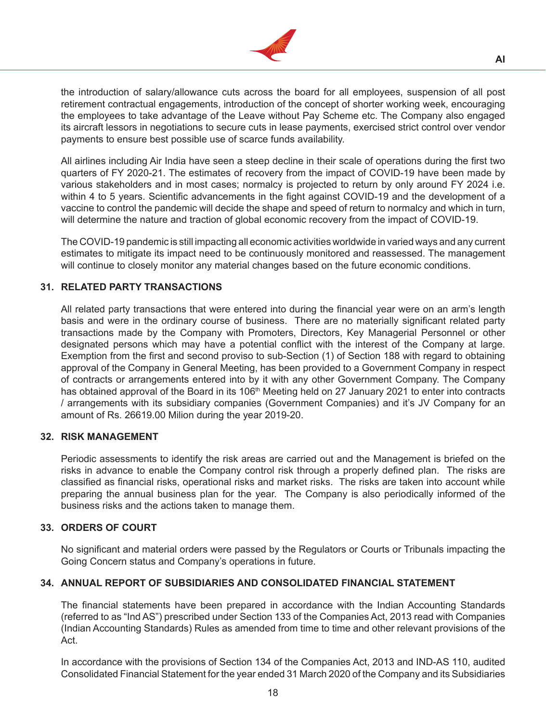

the introduction of salary/allowance cuts across the board for all employees, suspension of all post retirement contractual engagements, introduction of the concept of shorter working week, encouraging the employees to take advantage of the Leave without Pay Scheme etc. The Company also engaged its aircraft lessors in negotiations to secure cuts in lease payments, exercised strict control over vendor payments to ensure best possible use of scarce funds availability.

 All airlines including Air India have seen a steep decline in their scale of operations during the first two quarters of FY 2020-21. The estimates of recovery from the impact of COVID-19 have been made by various stakeholders and in most cases; normalcy is projected to return by only around FY 2024 i.e. within 4 to 5 years. Scientific advancements in the fight against COVID-19 and the development of a vaccine to control the pandemic will decide the shape and speed of return to normalcy and which in turn, will determine the nature and traction of global economic recovery from the impact of COVID-19.

The COVID-19 pandemic is still impacting all economic activities worldwide in varied ways and any current estimates to mitigate its impact need to be continuously monitored and reassessed. The management will continue to closely monitor any material changes based on the future economic conditions.

### **31. RELATED PARTY TRANSACTIONS**

 All related party transactions that were entered into during the financial year were on an arm's length basis and were in the ordinary course of business. There are no materially significant related party transactions made by the Company with Promoters, Directors, Key Managerial Personnel or other designated persons which may have a potential conflict with the interest of the Company at large. Exemption from the first and second proviso to sub-Section (1) of Section 188 with regard to obtaining approval of the Company in General Meeting, has been provided to a Government Company in respect of contracts or arrangements entered into by it with any other Government Company. The Company has obtained approval of the Board in its 106<sup>th</sup> Meeting held on 27 January 2021 to enter into contracts / arrangements with its subsidiary companies (Government Companies) and it's JV Company for an amount of Rs. 26619.00 Milion during the year 2019-20.

#### **32. RISK MANAGEMENT**

 Periodic assessments to identify the risk areas are carried out and the Management is briefed on the risks in advance to enable the Company control risk through a properly defined plan. The risks are classified as financial risks, operational risks and market risks. The risks are taken into account while preparing the annual business plan for the year. The Company is also periodically informed of the business risks and the actions taken to manage them.

#### **33. ORDERS OF COURT**

 No significant and material orders were passed by the Regulators or Courts or Tribunals impacting the Going Concern status and Company's operations in future.

### **34. ANNUAL REPORT OF SUBSIDIARIES AND CONSOLIDATED FINANCIAL STATEMENT**

 The financial statements have been prepared in accordance with the Indian Accounting Standards (referred to as "Ind AS") prescribed under Section 133 of the Companies Act, 2013 read with Companies (Indian Accounting Standards) Rules as amended from time to time and other relevant provisions of the Act.

 In accordance with the provisions of Section 134 of the Companies Act, 2013 and IND-AS 110, audited Consolidated Financial Statement for the year ended 31 March 2020 of the Company and its Subsidiaries